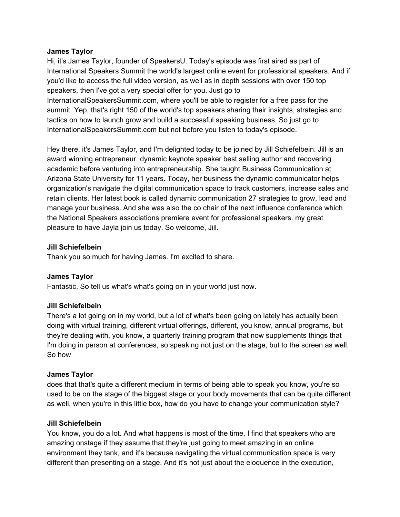#### **James Taylor**

Hi, it's James Taylor, founder of SpeakersU. Today's episode was first aired as part of International Speakers Summit the world's largest online event for professional speakers. And if you'd like to access the full video version, as well as in depth sessions with over 150 top speakers, then I've got a very special offer for you. Just go to InternationalSpeakersSummit.com, where you'll be able to register for a free pass for the

summit. Yep, that's right 150 of the world's top speakers sharing their insights, strategies and tactics on how to launch grow and build a successful speaking business. So just go to InternationalSpeakersSummit.com but not before you listen to today's episode.

Hey there, it's James Taylor, and I'm delighted today to be joined by Jill Schiefelbein. Jill is an award winning entrepreneur, dynamic keynote speaker best selling author and recovering academic before venturing into entrepreneurship. She taught Business Communication at Arizona State University for 11 years. Today, her business the dynamic communicator helps organization's navigate the digital communication space to track customers, increase sales and retain clients. Her latest book is called dynamic communication 27 strategies to grow, lead and manage your business. And she was also the co chair of the next influence conference which the National Speakers associations premiere event for professional speakers. my great pleasure to have Jayla join us today. So welcome, Jill.

### **Jill Schiefelbein**

Thank you so much for having James. I'm excited to share.

### **James Taylor**

Fantastic. So tell us what's what's going on in your world just now.

#### **Jill Schiefelbein**

There's a lot going on in my world, but a lot of what's been going on lately has actually been doing with virtual training, different virtual offerings, different, you know, annual programs, but they're dealing with, you know, a quarterly training program that now supplements things that I'm doing in person at conferences, so speaking not just on the stage, but to the screen as well. So how

#### **James Taylor**

does that that's quite a different medium in terms of being able to speak you know, you're so used to be on the stage of the biggest stage or your body movements that can be quite different as well, when you're in this little box, how do you have to change your communication style?

#### **Jill Schiefelbein**

You know, you do a lot. And what happens is most of the time, I find that speakers who are amazing onstage if they assume that they're just going to meet amazing in an online environment they tank, and it's because navigating the virtual communication space is very different than presenting on a stage. And it's not just about the eloquence in the execution,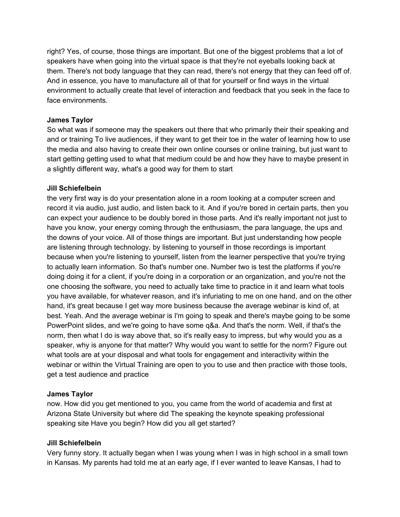right? Yes, of course, those things are important. But one of the biggest problems that a lot of speakers have when going into the virtual space is that they're not eyeballs looking back at them. There's not body language that they can read, there's not energy that they can feed off of. And in essence, you have to manufacture all of that for yourself or find ways in the virtual environment to actually create that level of interaction and feedback that you seek in the face to face environments.

## **James Taylor**

So what was if someone may the speakers out there that who primarily their their speaking and and or training To live audiences, if they want to get their toe in the water of learning how to use the media and also having to create their own online courses or online training, but just want to start getting getting used to what that medium could be and how they have to maybe present in a slightly different way, what's a good way for them to start

## **Jill Schiefelbein**

the very first way is do your presentation alone in a room looking at a computer screen and record it via audio, just audio, and listen back to it. And if you're bored in certain parts, then you can expect your audience to be doubly bored in those parts. And it's really important not just to have you know, your energy coming through the enthusiasm, the para language, the ups and the downs of your voice. All of those things are important. But just understanding how people are listening through technology, by listening to yourself in those recordings is important because when you're listening to yourself, listen from the learner perspective that you're trying to actually learn information. So that's number one. Number two is test the platforms if you're doing doing it for a client, if you're doing in a corporation or an organization, and you're not the one choosing the software, you need to actually take time to practice in it and learn what tools you have available, for whatever reason, and it's infuriating to me on one hand, and on the other hand, it's great because I get way more business because the average webinar is kind of, at best. Yeah. And the average webinar is I'm going to speak and there's maybe going to be some PowerPoint slides, and we're going to have some q&a. And that's the norm. Well, if that's the norm, then what I do is way above that, so it's really easy to impress, but why would you as a speaker, why is anyone for that matter? Why would you want to settle for the norm? Figure out what tools are at your disposal and what tools for engagement and interactivity within the webinar or within the Virtual Training are open to you to use and then practice with those tools, get a test audience and practice

# **James Taylor**

now. How did you get mentioned to you, you came from the world of academia and first at Arizona State University but where did The speaking the keynote speaking professional speaking site Have you begin? How did you all get started?

# **Jill Schiefelbein**

Very funny story. It actually began when I was young when I was in high school in a small town in Kansas. My parents had told me at an early age, if I ever wanted to leave Kansas, I had to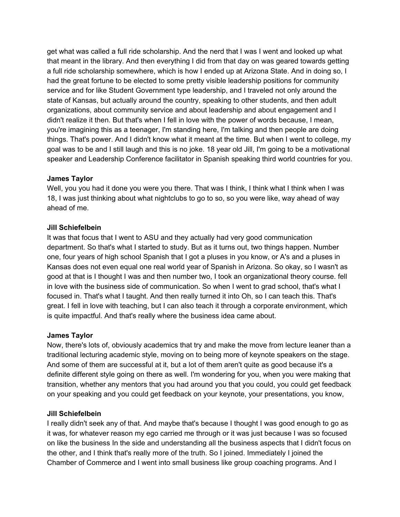get what was called a full ride scholarship. And the nerd that I was I went and looked up what that meant in the library. And then everything I did from that day on was geared towards getting a full ride scholarship somewhere, which is how I ended up at Arizona State. And in doing so, I had the great fortune to be elected to some pretty visible leadership positions for community service and for like Student Government type leadership, and I traveled not only around the state of Kansas, but actually around the country, speaking to other students, and then adult organizations, about community service and about leadership and about engagement and I didn't realize it then. But that's when I fell in love with the power of words because, I mean, you're imagining this as a teenager, I'm standing here, I'm talking and then people are doing things. That's power. And I didn't know what it meant at the time. But when I went to college, my goal was to be and I still laugh and this is no joke. 18 year old Jill, I'm going to be a motivational speaker and Leadership Conference facilitator in Spanish speaking third world countries for you.

## **James Taylor**

Well, you you had it done you were you there. That was I think, I think what I think when I was 18, I was just thinking about what nightclubs to go to so, so you were like, way ahead of way ahead of me.

## **Jill Schiefelbein**

It was that focus that I went to ASU and they actually had very good communication department. So that's what I started to study. But as it turns out, two things happen. Number one, four years of high school Spanish that I got a pluses in you know, or A's and a pluses in Kansas does not even equal one real world year of Spanish in Arizona. So okay, so I wasn't as good at that is I thought I was and then number two, I took an organizational theory course. fell in love with the business side of communication. So when I went to grad school, that's what I focused in. That's what I taught. And then really turned it into Oh, so I can teach this. That's great. I fell in love with teaching, but I can also teach it through a corporate environment, which is quite impactful. And that's really where the business idea came about.

### **James Taylor**

Now, there's lots of, obviously academics that try and make the move from lecture leaner than a traditional lecturing academic style, moving on to being more of keynote speakers on the stage. And some of them are successful at it, but a lot of them aren't quite as good because it's a definite different style going on there as well. I'm wondering for you, when you were making that transition, whether any mentors that you had around you that you could, you could get feedback on your speaking and you could get feedback on your keynote, your presentations, you know,

# **Jill Schiefelbein**

I really didn't seek any of that. And maybe that's because I thought I was good enough to go as it was, for whatever reason my ego carried me through or it was just because I was so focused on like the business In the side and understanding all the business aspects that I didn't focus on the other, and I think that's really more of the truth. So I joined. Immediately I joined the Chamber of Commerce and I went into small business like group coaching programs. And I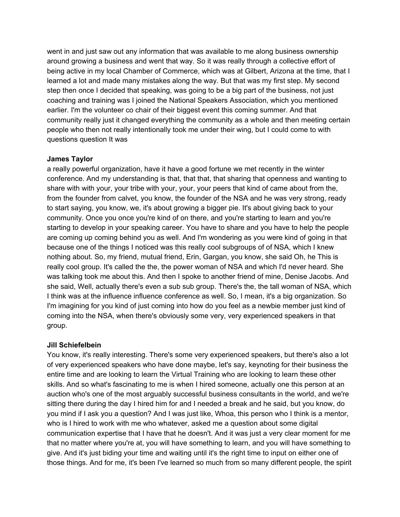went in and just saw out any information that was available to me along business ownership around growing a business and went that way. So it was really through a collective effort of being active in my local Chamber of Commerce, which was at Gilbert, Arizona at the time, that I learned a lot and made many mistakes along the way. But that was my first step. My second step then once I decided that speaking, was going to be a big part of the business, not just coaching and training was I joined the National Speakers Association, which you mentioned earlier. I'm the volunteer co chair of their biggest event this coming summer. And that community really just it changed everything the community as a whole and then meeting certain people who then not really intentionally took me under their wing, but I could come to with questions question It was

## **James Taylor**

a really powerful organization, have it have a good fortune we met recently in the winter conference. And my understanding is that, that that, that sharing that openness and wanting to share with with your, your tribe with your, your, your peers that kind of came about from the, from the founder from calvet, you know, the founder of the NSA and he was very strong, ready to start saying, you know, we, it's about growing a bigger pie. It's about giving back to your community. Once you once you're kind of on there, and you're starting to learn and you're starting to develop in your speaking career. You have to share and you have to help the people are coming up coming behind you as well. And I'm wondering as you were kind of going in that because one of the things I noticed was this really cool subgroups of of NSA, which I knew nothing about. So, my friend, mutual friend, Erin, Gargan, you know, she said Oh, he This is really cool group. It's called the the, the power woman of NSA and which I'd never heard. She was talking took me about this. And then I spoke to another friend of mine, Denise Jacobs. And she said, Well, actually there's even a sub sub group. There's the, the tall woman of NSA, which I think was at the influence influence conference as well. So, I mean, it's a big organization. So I'm imagining for you kind of just coming into how do you feel as a newbie member just kind of coming into the NSA, when there's obviously some very, very experienced speakers in that group.

# **Jill Schiefelbein**

You know, it's really interesting. There's some very experienced speakers, but there's also a lot of very experienced speakers who have done maybe, let's say, keynoting for their business the entire time and are looking to learn the Virtual Training who are looking to learn these other skills. And so what's fascinating to me is when I hired someone, actually one this person at an auction who's one of the most arguably successful business consultants in the world, and we're sitting there during the day I hired him for and I needed a break and he said, but you know, do you mind if I ask you a question? And I was just like, Whoa, this person who I think is a mentor, who is I hired to work with me who whatever, asked me a question about some digital communication expertise that I have that he doesn't. And it was just a very clear moment for me that no matter where you're at, you will have something to learn, and you will have something to give. And it's just biding your time and waiting until it's the right time to input on either one of those things. And for me, it's been I've learned so much from so many different people, the spirit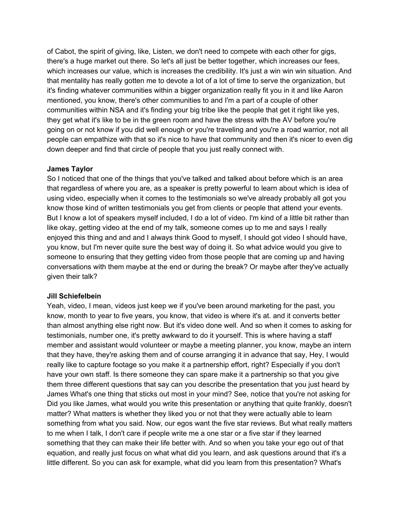of Cabot, the spirit of giving, like, Listen, we don't need to compete with each other for gigs, there's a huge market out there. So let's all just be better together, which increases our fees, which increases our value, which is increases the credibility. It's just a win win win situation. And that mentality has really gotten me to devote a lot of a lot of time to serve the organization, but it's finding whatever communities within a bigger organization really fit you in it and like Aaron mentioned, you know, there's other communities to and I'm a part of a couple of other communities within NSA and it's finding your big tribe like the people that get it right like yes, they get what it's like to be in the green room and have the stress with the AV before you're going on or not know if you did well enough or you're traveling and you're a road warrior, not all people can empathize with that so it's nice to have that community and then it's nicer to even dig down deeper and find that circle of people that you just really connect with.

## **James Taylor**

So I noticed that one of the things that you've talked and talked about before which is an area that regardless of where you are, as a speaker is pretty powerful to learn about which is idea of using video, especially when it comes to the testimonials so we've already probably all got you know those kind of written testimonials you get from clients or people that attend your events. But I know a lot of speakers myself included, I do a lot of video. I'm kind of a little bit rather than like okay, getting video at the end of my talk, someone comes up to me and says I really enjoyed this thing and and and I always think Good to myself, I should got video I should have, you know, but I'm never quite sure the best way of doing it. So what advice would you give to someone to ensuring that they getting video from those people that are coming up and having conversations with them maybe at the end or during the break? Or maybe after they've actually given their talk?

### **Jill Schiefelbein**

Yeah, video, I mean, videos just keep we if you've been around marketing for the past, you know, month to year to five years, you know, that video is where it's at. and it converts better than almost anything else right now. But it's video done well. And so when it comes to asking for testimonials, number one, it's pretty awkward to do it yourself. This is where having a staff member and assistant would volunteer or maybe a meeting planner, you know, maybe an intern that they have, they're asking them and of course arranging it in advance that say, Hey, I would really like to capture footage so you make it a partnership effort, right? Especially if you don't have your own staff. Is there someone they can spare make it a partnership so that you give them three different questions that say can you describe the presentation that you just heard by James What's one thing that sticks out most in your mind? See, notice that you're not asking for Did you like James, what would you write this presentation or anything that quite frankly, doesn't matter? What matters is whether they liked you or not that they were actually able to learn something from what you said. Now, our egos want the five star reviews. But what really matters to me when I talk, I don't care if people write me a one star or a five star if they learned something that they can make their life better with. And so when you take your ego out of that equation, and really just focus on what what did you learn, and ask questions around that it's a little different. So you can ask for example, what did you learn from this presentation? What's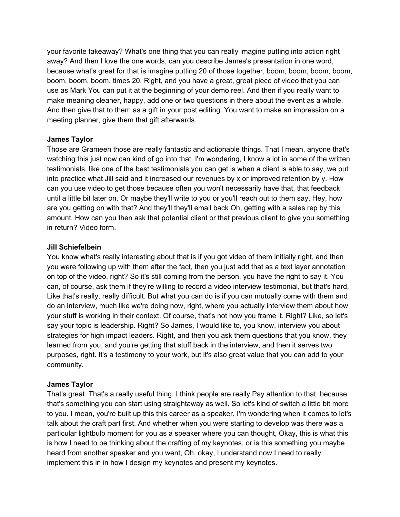your favorite takeaway? What's one thing that you can really imagine putting into action right away? And then I love the one words, can you describe James's presentation in one word, because what's great for that is imagine putting 20 of those together, boom, boom, boom, boom, boom, boom, boom, times 20. Right, and you have a great, great piece of video that you can use as Mark You can put it at the beginning of your demo reel. And then if you really want to make meaning cleaner, happy, add one or two questions in there about the event as a whole. And then give that to them as a gift in your post editing. You want to make an impression on a meeting planner, give them that gift afterwards.

## **James Taylor**

Those are Grameen those are really fantastic and actionable things. That I mean, anyone that's watching this just now can kind of go into that. I'm wondering, I know a lot in some of the written testimonials, like one of the best testimonials you can get is when a client is able to say, we put into practice what Jill said and it increased our revenues by x or improved retention by y. How can you use video to get those because often you won't necessarily have that, that feedback until a little bit later on. Or maybe they'll write to you or you'll reach out to them say, Hey, how are you getting on with that? And they'll they'll email back Oh, getting with a sales rep by this amount. How can you then ask that potential client or that previous client to give you something in return? Video form.

## **Jill Schiefelbein**

You know what's really interesting about that is if you got video of them initially right, and then you were following up with them after the fact, then you just add that as a text layer annotation on top of the video, right? So it's still coming from the person, you have the right to say it. You can, of course, ask them if they're willing to record a video interview testimonial, but that's hard. Like that's really, really difficult. But what you can do is if you can mutually come with them and do an interview, much like we're doing now, right, where you actually interview them about how your stuff is working in their context. Of course, that's not how you frame it. Right? Like, so let's say your topic is leadership. Right? So James, I would like to, you know, interview you about strategies for high impact leaders. Right, and then you ask them questions that you know, they learned from you, and you're getting that stuff back in the interview, and then it serves two purposes, right. It's a testimony to your work, but it's also great value that you can add to your community.

# **James Taylor**

That's great. That's a really useful thing. I think people are really Pay attention to that, because that's something you can start using straightaway as well. So let's kind of switch a little bit more to you. I mean, you're built up this this career as a speaker. I'm wondering when it comes to let's talk about the craft part first. And whether when you were starting to develop was there was a particular lightbulb moment for you as a speaker where you can thought, Okay, this is what this is how I need to be thinking about the crafting of my keynotes, or is this something you maybe heard from another speaker and you went, Oh, okay, I understand now I need to really implement this in in how I design my keynotes and present my keynotes.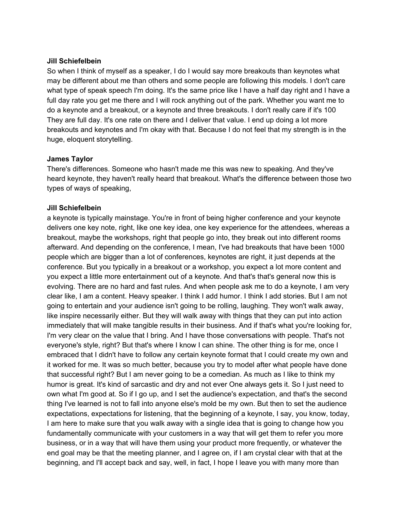### **Jill Schiefelbein**

So when I think of myself as a speaker, I do I would say more breakouts than keynotes what may be different about me than others and some people are following this models. I don't care what type of speak speech I'm doing. It's the same price like I have a half day right and I have a full day rate you get me there and I will rock anything out of the park. Whether you want me to do a keynote and a breakout, or a keynote and three breakouts. I don't really care if it's 100 They are full day. It's one rate on there and I deliver that value. I end up doing a lot more breakouts and keynotes and I'm okay with that. Because I do not feel that my strength is in the huge, eloquent storytelling.

#### **James Taylor**

There's differences. Someone who hasn't made me this was new to speaking. And they've heard keynote, they haven't really heard that breakout. What's the difference between those two types of ways of speaking,

#### **Jill Schiefelbein**

a keynote is typically mainstage. You're in front of being higher conference and your keynote delivers one key note, right, like one key idea, one key experience for the attendees, whereas a breakout, maybe the workshops, right that people go into, they break out into different rooms afterward. And depending on the conference, I mean, I've had breakouts that have been 1000 people which are bigger than a lot of conferences, keynotes are right, it just depends at the conference. But you typically in a breakout or a workshop, you expect a lot more content and you expect a little more entertainment out of a keynote. And that's that's general now this is evolving. There are no hard and fast rules. And when people ask me to do a keynote, I am very clear like, I am a content. Heavy speaker. I think I add humor. I think I add stories. But I am not going to entertain and your audience isn't going to be rolling, laughing. They won't walk away, like inspire necessarily either. But they will walk away with things that they can put into action immediately that will make tangible results in their business. And if that's what you're looking for, I'm very clear on the value that I bring. And I have those conversations with people. That's not everyone's style, right? But that's where I know I can shine. The other thing is for me, once I embraced that I didn't have to follow any certain keynote format that I could create my own and it worked for me. It was so much better, because you try to model after what people have done that successful right? But I am never going to be a comedian. As much as I like to think my humor is great. It's kind of sarcastic and dry and not ever One always gets it. So I just need to own what I'm good at. So if I go up, and I set the audience's expectation, and that's the second thing I've learned is not to fall into anyone else's mold be my own. But then to set the audience expectations, expectations for listening, that the beginning of a keynote, I say, you know, today, I am here to make sure that you walk away with a single idea that is going to change how you fundamentally communicate with your customers in a way that will get them to refer you more business, or in a way that will have them using your product more frequently, or whatever the end goal may be that the meeting planner, and I agree on, if I am crystal clear with that at the beginning, and I'll accept back and say, well, in fact, I hope I leave you with many more than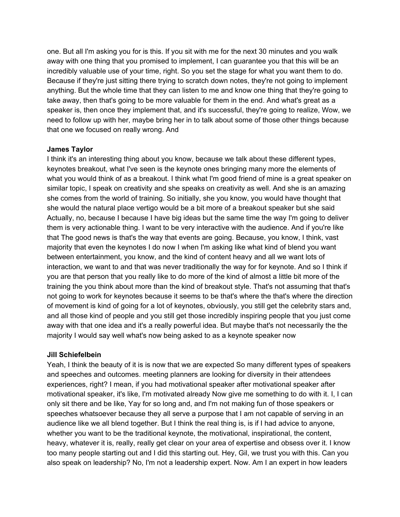one. But all I'm asking you for is this. If you sit with me for the next 30 minutes and you walk away with one thing that you promised to implement, I can guarantee you that this will be an incredibly valuable use of your time, right. So you set the stage for what you want them to do. Because if they're just sitting there trying to scratch down notes, they're not going to implement anything. But the whole time that they can listen to me and know one thing that they're going to take away, then that's going to be more valuable for them in the end. And what's great as a speaker is, then once they implement that, and it's successful, they're going to realize, Wow, we need to follow up with her, maybe bring her in to talk about some of those other things because that one we focused on really wrong. And

### **James Taylor**

I think it's an interesting thing about you know, because we talk about these different types, keynotes breakout, what I've seen is the keynote ones bringing many more the elements of what you would think of as a breakout. I think what I'm good friend of mine is a great speaker on similar topic, I speak on creativity and she speaks on creativity as well. And she is an amazing she comes from the world of training. So initially, she you know, you would have thought that she would the natural place vertigo would be a bit more of a breakout speaker but she said Actually, no, because I because I have big ideas but the same time the way I'm going to deliver them is very actionable thing. I want to be very interactive with the audience. And if you're like that The good news is that's the way that events are going. Because, you know, I think, vast majority that even the keynotes I do now I when I'm asking like what kind of blend you want between entertainment, you know, and the kind of content heavy and all we want lots of interaction, we want to and that was never traditionally the way for for keynote. And so I think if you are that person that you really like to do more of the kind of almost a little bit more of the training the you think about more than the kind of breakout style. That's not assuming that that's not going to work for keynotes because it seems to be that's where the that's where the direction of movement is kind of going for a lot of keynotes, obviously, you still get the celebrity stars and, and all those kind of people and you still get those incredibly inspiring people that you just come away with that one idea and it's a really powerful idea. But maybe that's not necessarily the the majority I would say well what's now being asked to as a keynote speaker now

### **Jill Schiefelbein**

Yeah, I think the beauty of it is is now that we are expected So many different types of speakers and speeches and outcomes. meeting planners are looking for diversity in their attendees experiences, right? I mean, if you had motivational speaker after motivational speaker after motivational speaker, it's like, I'm motivated already Now give me something to do with it. I, I can only sit there and be like, Yay for so long and, and I'm not making fun of those speakers or speeches whatsoever because they all serve a purpose that I am not capable of serving in an audience like we all blend together. But I think the real thing is, is if I had advice to anyone, whether you want to be the traditional keynote, the motivational, inspirational, the content, heavy, whatever it is, really, really get clear on your area of expertise and obsess over it. I know too many people starting out and I did this starting out. Hey, Gil, we trust you with this. Can you also speak on leadership? No, I'm not a leadership expert. Now. Am I an expert in how leaders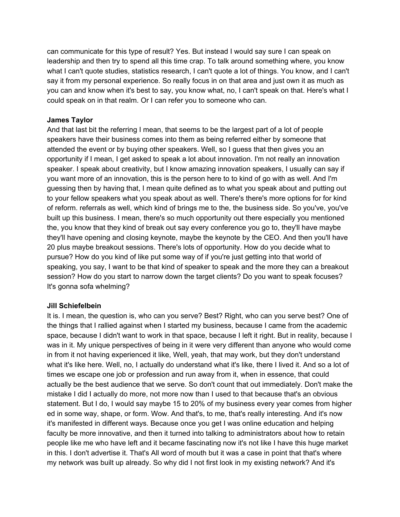can communicate for this type of result? Yes. But instead I would say sure I can speak on leadership and then try to spend all this time crap. To talk around something where, you know what I can't quote studies, statistics research, I can't quote a lot of things. You know, and I can't say it from my personal experience. So really focus in on that area and just own it as much as you can and know when it's best to say, you know what, no, I can't speak on that. Here's what I could speak on in that realm. Or I can refer you to someone who can.

## **James Taylor**

And that last bit the referring I mean, that seems to be the largest part of a lot of people speakers have their business comes into them as being referred either by someone that attended the event or by buying other speakers. Well, so I guess that then gives you an opportunity if I mean, I get asked to speak a lot about innovation. I'm not really an innovation speaker. I speak about creativity, but I know amazing innovation speakers, I usually can say if you want more of an innovation, this is the person here to to kind of go with as well. And I'm guessing then by having that, I mean quite defined as to what you speak about and putting out to your fellow speakers what you speak about as well. There's there's more options for for kind of reform. referrals as well, which kind of brings me to the, the business side. So you've, you've built up this business. I mean, there's so much opportunity out there especially you mentioned the, you know that they kind of break out say every conference you go to, they'll have maybe they'll have opening and closing keynote, maybe the keynote by the CEO. And then you'll have 20 plus maybe breakout sessions. There's lots of opportunity. How do you decide what to pursue? How do you kind of like put some way of if you're just getting into that world of speaking, you say, I want to be that kind of speaker to speak and the more they can a breakout session? How do you start to narrow down the target clients? Do you want to speak focuses? It's gonna sofa whelming?

### **Jill Schiefelbein**

It is. I mean, the question is, who can you serve? Best? Right, who can you serve best? One of the things that I rallied against when I started my business, because I came from the academic space, because I didn't want to work in that space, because I left it right. But in reality, because I was in it. My unique perspectives of being in it were very different than anyone who would come in from it not having experienced it like, Well, yeah, that may work, but they don't understand what it's like here. Well, no, I actually do understand what it's like, there I lived it. And so a lot of times we escape one job or profession and run away from it, when in essence, that could actually be the best audience that we serve. So don't count that out immediately. Don't make the mistake I did I actually do more, not more now than I used to that because that's an obvious statement. But I do, I would say maybe 15 to 20% of my business every year comes from higher ed in some way, shape, or form. Wow. And that's, to me, that's really interesting. And it's now it's manifested in different ways. Because once you get I was online education and helping faculty be more innovative, and then it turned into talking to administrators about how to retain people like me who have left and it became fascinating now it's not like I have this huge market in this. I don't advertise it. That's All word of mouth but it was a case in point that that's where my network was built up already. So why did I not first look in my existing network? And it's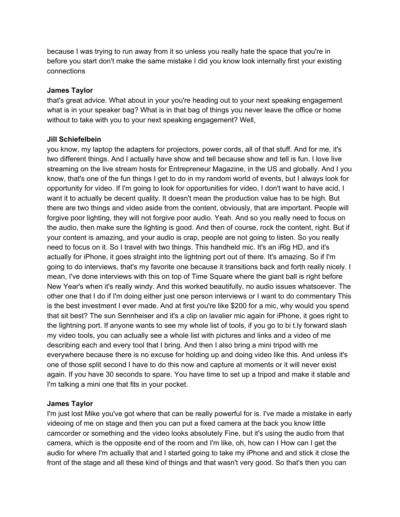because I was trying to run away from it so unless you really hate the space that you're in before you start don't make the same mistake I did you know look internally first your existing connections

### **James Taylor**

that's great advice. What about in your you're heading out to your next speaking engagement what is in your speaker bag? What is in that bag of things you never leave the office or home without to take with you to your next speaking engagement? Well,

## **Jill Schiefelbein**

you know, my laptop the adapters for projectors, power cords, all of that stuff. And for me, it's two different things. And I actually have show and tell because show and tell is fun. I love live streaming on the live stream hosts for Entrepreneur Magazine, in the US and globally. And I you know, that's one of the fun things I get to do in my random world of events, but I always look for opportunity for video. If I'm going to look for opportunities for video, I don't want to have acid, I want it to actually be decent quality. It doesn't mean the production value has to be high. But there are two things and video aside from the content, obviously, that are important. People will forgive poor lighting, they will not forgive poor audio. Yeah. And so you really need to focus on the audio, then make sure the lighting is good. And then of course, rock the content, right. But if your content is amazing, and your audio is crap, people are not going to listen. So you really need to focus on it. So I travel with two things. This handheld mic. It's an iRig HD, and it's actually for iPhone, it goes straight into the lightning port out of there. It's amazing. So if I'm going to do interviews, that's my favorite one because it transitions back and forth really nicely. I mean, I've done interviews with this on top of Time Square where the giant ball is right before New Year's when it's really windy. And this worked beautifully, no audio issues whatsoever. The other one that I do if I'm doing either just one person interviews or I want to do commentary This is the best investment I ever made. And at first you're like \$200 for a mic, why would you spend that sit best? The sun Sennheiser and it's a clip on lavalier mic again for iPhone, it goes right to the lightning port. If anyone wants to see my whole list of tools, if you go to bi t.ly forward slash my video tools, you can actually see a whole list with pictures and links and a video of me describing each and every tool that I bring. And then I also bring a mini tripod with me everywhere because there is no excuse for holding up and doing video like this. And unless it's one of those split second I have to do this now and capture at moments or it will never exist again. If you have 30 seconds to spare. You have time to set up a tripod and make it stable and I'm talking a mini one that fits in your pocket.

# **James Taylor**

I'm just lost Mike you've got where that can be really powerful for is. I've made a mistake in early videoing of me on stage and then you can put a fixed camera at the back you know little camcorder or something and the video looks absolutely Fine, but it's using the audio from that camera, which is the opposite end of the room and I'm like, oh, how can I How can I get the audio for where I'm actually that and I started going to take my iPhone and and stick it close the front of the stage and all these kind of things and that wasn't very good. So that's then you can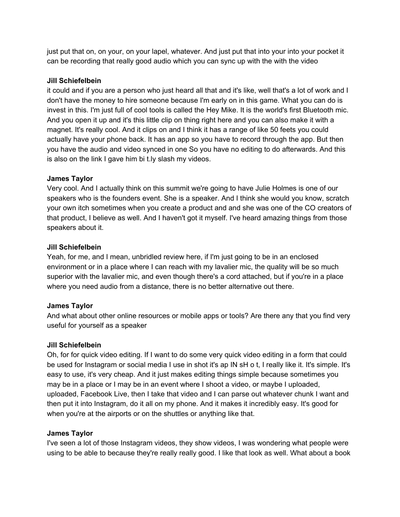just put that on, on your, on your lapel, whatever. And just put that into your into your pocket it can be recording that really good audio which you can sync up with the with the video

## **Jill Schiefelbein**

it could and if you are a person who just heard all that and it's like, well that's a lot of work and I don't have the money to hire someone because I'm early on in this game. What you can do is invest in this. I'm just full of cool tools is called the Hey Mike. It is the world's first Bluetooth mic. And you open it up and it's this little clip on thing right here and you can also make it with a magnet. It's really cool. And it clips on and I think it has a range of like 50 feets you could actually have your phone back. It has an app so you have to record through the app. But then you have the audio and video synced in one So you have no editing to do afterwards. And this is also on the link I gave him bi t.ly slash my videos.

## **James Taylor**

Very cool. And I actually think on this summit we're going to have Julie Holmes is one of our speakers who is the founders event. She is a speaker. And I think she would you know, scratch your own itch sometimes when you create a product and and she was one of the CO creators of that product, I believe as well. And I haven't got it myself. I've heard amazing things from those speakers about it.

## **Jill Schiefelbein**

Yeah, for me, and I mean, unbridled review here, if I'm just going to be in an enclosed environment or in a place where I can reach with my lavalier mic, the quality will be so much superior with the lavalier mic, and even though there's a cord attached, but if you're in a place where you need audio from a distance, there is no better alternative out there.

# **James Taylor**

And what about other online resources or mobile apps or tools? Are there any that you find very useful for yourself as a speaker

### **Jill Schiefelbein**

Oh, for for quick video editing. If I want to do some very quick video editing in a form that could be used for Instagram or social media I use in shot it's ap IN sH o t, I really like it. It's simple. It's easy to use, it's very cheap. And it just makes editing things simple because sometimes you may be in a place or I may be in an event where I shoot a video, or maybe I uploaded, uploaded, Facebook Live, then I take that video and I can parse out whatever chunk I want and then put it into Instagram, do it all on my phone. And it makes it incredibly easy. It's good for when you're at the airports or on the shuttles or anything like that.

# **James Taylor**

I've seen a lot of those Instagram videos, they show videos, I was wondering what people were using to be able to because they're really really good. I like that look as well. What about a book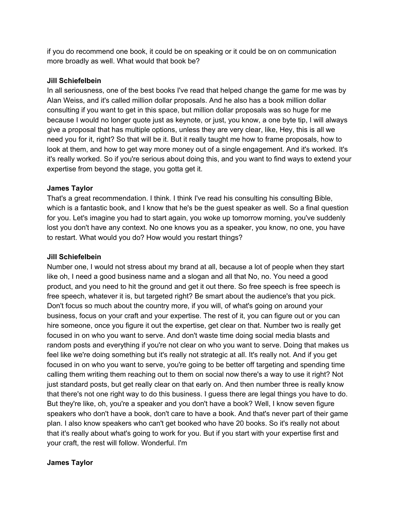if you do recommend one book, it could be on speaking or it could be on on communication more broadly as well. What would that book be?

### **Jill Schiefelbein**

In all seriousness, one of the best books I've read that helped change the game for me was by Alan Weiss, and it's called million dollar proposals. And he also has a book million dollar consulting if you want to get in this space, but million dollar proposals was so huge for me because I would no longer quote just as keynote, or just, you know, a one byte tip, I will always give a proposal that has multiple options, unless they are very clear, like, Hey, this is all we need you for it, right? So that will be it. But it really taught me how to frame proposals, how to look at them, and how to get way more money out of a single engagement. And it's worked. It's it's really worked. So if you're serious about doing this, and you want to find ways to extend your expertise from beyond the stage, you gotta get it.

## **James Taylor**

That's a great recommendation. I think. I think I've read his consulting his consulting Bible, which is a fantastic book, and I know that he's be the guest speaker as well. So a final question for you. Let's imagine you had to start again, you woke up tomorrow morning, you've suddenly lost you don't have any context. No one knows you as a speaker, you know, no one, you have to restart. What would you do? How would you restart things?

## **Jill Schiefelbein**

Number one, I would not stress about my brand at all, because a lot of people when they start like oh, I need a good business name and a slogan and all that No, no. You need a good product, and you need to hit the ground and get it out there. So free speech is free speech is free speech, whatever it is, but targeted right? Be smart about the audience's that you pick. Don't focus so much about the country more, if you will, of what's going on around your business, focus on your craft and your expertise. The rest of it, you can figure out or you can hire someone, once you figure it out the expertise, get clear on that. Number two is really get focused in on who you want to serve. And don't waste time doing social media blasts and random posts and everything if you're not clear on who you want to serve. Doing that makes us feel like we're doing something but it's really not strategic at all. It's really not. And if you get focused in on who you want to serve, you're going to be better off targeting and spending time calling them writing them reaching out to them on social now there's a way to use it right? Not just standard posts, but get really clear on that early on. And then number three is really know that there's not one right way to do this business. I guess there are legal things you have to do. But they're like, oh, you're a speaker and you don't have a book? Well, I know seven figure speakers who don't have a book, don't care to have a book. And that's never part of their game plan. I also know speakers who can't get booked who have 20 books. So it's really not about that it's really about what's going to work for you. But if you start with your expertise first and your craft, the rest will follow. Wonderful. I'm

# **James Taylor**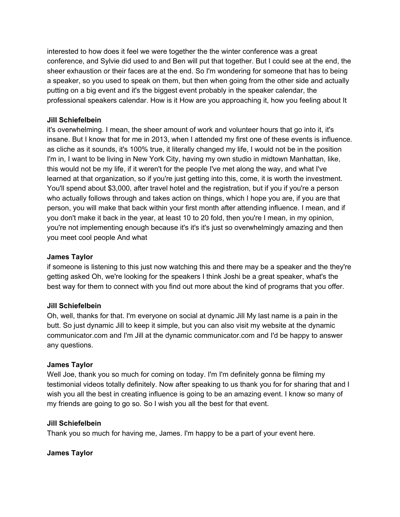interested to how does it feel we were together the the winter conference was a great conference, and Sylvie did used to and Ben will put that together. But I could see at the end, the sheer exhaustion or their faces are at the end. So I'm wondering for someone that has to being a speaker, so you used to speak on them, but then when going from the other side and actually putting on a big event and it's the biggest event probably in the speaker calendar, the professional speakers calendar. How is it How are you approaching it, how you feeling about It

## **Jill Schiefelbein**

it's overwhelming. I mean, the sheer amount of work and volunteer hours that go into it, it's insane. But I know that for me in 2013, when I attended my first one of these events is influence. as cliche as it sounds, it's 100% true, it literally changed my life, I would not be in the position I'm in, I want to be living in New York City, having my own studio in midtown Manhattan, like, this would not be my life, if it weren't for the people I've met along the way, and what I've learned at that organization, so if you're just getting into this, come, it is worth the investment. You'll spend about \$3,000, after travel hotel and the registration, but if you if you're a person who actually follows through and takes action on things, which I hope you are, if you are that person, you will make that back within your first month after attending influence. I mean, and if you don't make it back in the year, at least 10 to 20 fold, then you're I mean, in my opinion, you're not implementing enough because it's it's it's just so overwhelmingly amazing and then you meet cool people And what

## **James Taylor**

if someone is listening to this just now watching this and there may be a speaker and the they're getting asked Oh, we're looking for the speakers I think Joshi be a great speaker, what's the best way for them to connect with you find out more about the kind of programs that you offer.

### **Jill Schiefelbein**

Oh, well, thanks for that. I'm everyone on social at dynamic Jill My last name is a pain in the butt. So just dynamic Jill to keep it simple, but you can also visit my website at the dynamic communicator.com and I'm Jill at the dynamic communicator.com and I'd be happy to answer any questions.

# **James Taylor**

Well Joe, thank you so much for coming on today. I'm I'm definitely gonna be filming my testimonial videos totally definitely. Now after speaking to us thank you for for sharing that and I wish you all the best in creating influence is going to be an amazing event. I know so many of my friends are going to go so. So I wish you all the best for that event.

### **Jill Schiefelbein**

Thank you so much for having me, James. I'm happy to be a part of your event here.

### **James Taylor**